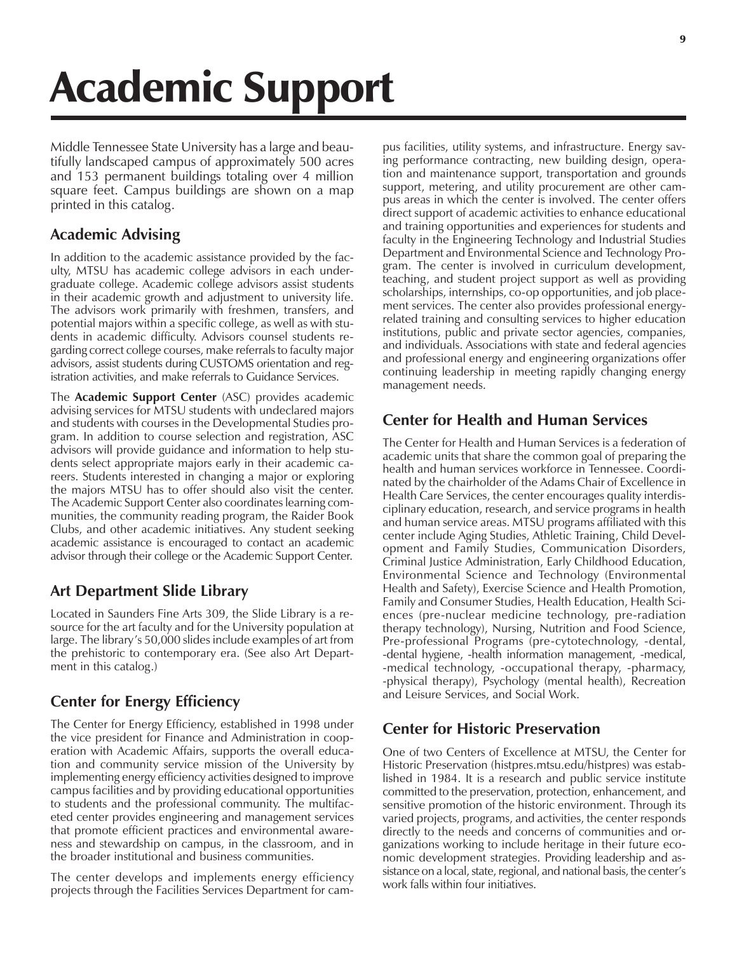# Academic Support

Middle Tennessee State University has a large and beautifully landscaped campus of approximately 500 acres and 153 permanent buildings totaling over 4 million square feet. Campus buildings are shown on a map printed in this catalog.

#### **Academic Advising**

In addition to the academic assistance provided by the faculty, MTSU has academic college advisors in each undergraduate college. Academic college advisors assist students in their academic growth and adjustment to university life. The advisors work primarily with freshmen, transfers, and potential majors within a specific college, as well as with students in academic difficulty. Advisors counsel students regarding correct college courses, make referrals to faculty major advisors, assist students during CUSTOMS orientation and registration activities, and make referrals to Guidance Services.

The **Academic Support Center** (ASC) provides academic advising services for MTSU students with undeclared majors and students with courses in the Developmental Studies program. In addition to course selection and registration, ASC advisors will provide guidance and information to help students select appropriate majors early in their academic careers. Students interested in changing a major or exploring the majors MTSU has to offer should also visit the center. The Academic Support Center also coordinates learning communities, the community reading program, the Raider Book Clubs, and other academic initiatives. Any student seeking academic assistance is encouraged to contact an academic advisor through their college or the Academic Support Center.

### **Art Department Slide Library**

Located in Saunders Fine Arts 309, the Slide Library is a resource for the art faculty and for the University population at large. The library's 50,000 slides include examples of art from the prehistoric to contemporary era. (See also Art Department in this catalog.)

### **Center for Energy Efficiency**

The Center for Energy Efficiency, established in 1998 under the vice president for Finance and Administration in cooperation with Academic Affairs, supports the overall education and community service mission of the University by implementing energy efficiency activities designed to improve campus facilities and by providing educational opportunities to students and the professional community. The multifaceted center provides engineering and management services that promote efficient practices and environmental awareness and stewardship on campus, in the classroom, and in the broader institutional and business communities.

The center develops and implements energy efficiency projects through the Facilities Services Department for campus facilities, utility systems, and infrastructure. Energy saving performance contracting, new building design, operation and maintenance support, transportation and grounds support, metering, and utility procurement are other campus areas in which the center is involved. The center offers direct support of academic activities to enhance educational and training opportunities and experiences for students and faculty in the Engineering Technology and Industrial Studies Department and Environmental Science and Technology Program. The center is involved in curriculum development, teaching, and student project support as well as providing scholarships, internships, co-op opportunities, and job placement services. The center also provides professional energyrelated training and consulting services to higher education institutions, public and private sector agencies, companies, and individuals. Associations with state and federal agencies and professional energy and engineering organizations offer continuing leadership in meeting rapidly changing energy management needs.

## **Center for Health and Human Services**

The Center for Health and Human Services is a federation of academic units that share the common goal of preparing the health and human services workforce in Tennessee. Coordinated by the chairholder of the Adams Chair of Excellence in Health Care Services, the center encourages quality interdisciplinary education, research, and service programs in health and human service areas. MTSU programs affiliated with this center include Aging Studies, Athletic Training, Child Development and Family Studies, Communication Disorders, Criminal Justice Administration, Early Childhood Education, Environmental Science and Technology (Environmental Health and Safety), Exercise Science and Health Promotion, Family and Consumer Studies, Health Education, Health Sciences (pre-nuclear medicine technology, pre-radiation therapy technology), Nursing, Nutrition and Food Science, Pre-professional Programs (pre-cytotechnology, -dental, -dental hygiene, -health information management, -medical, -medical technology, -occupational therapy, -pharmacy, -physical therapy), Psychology (mental health), Recreation and Leisure Services, and Social Work.

### **Center for Historic Preservation**

One of two Centers of Excellence at MTSU, the Center for Historic Preservation (histpres.mtsu.edu/histpres) was established in 1984. It is a research and public service institute committed to the preservation, protection, enhancement, and sensitive promotion of the historic environment. Through its varied projects, programs, and activities, the center responds directly to the needs and concerns of communities and organizations working to include heritage in their future economic development strategies. Providing leadership and assistance on a local, state, regional, and national basis, the center's work falls within four initiatives.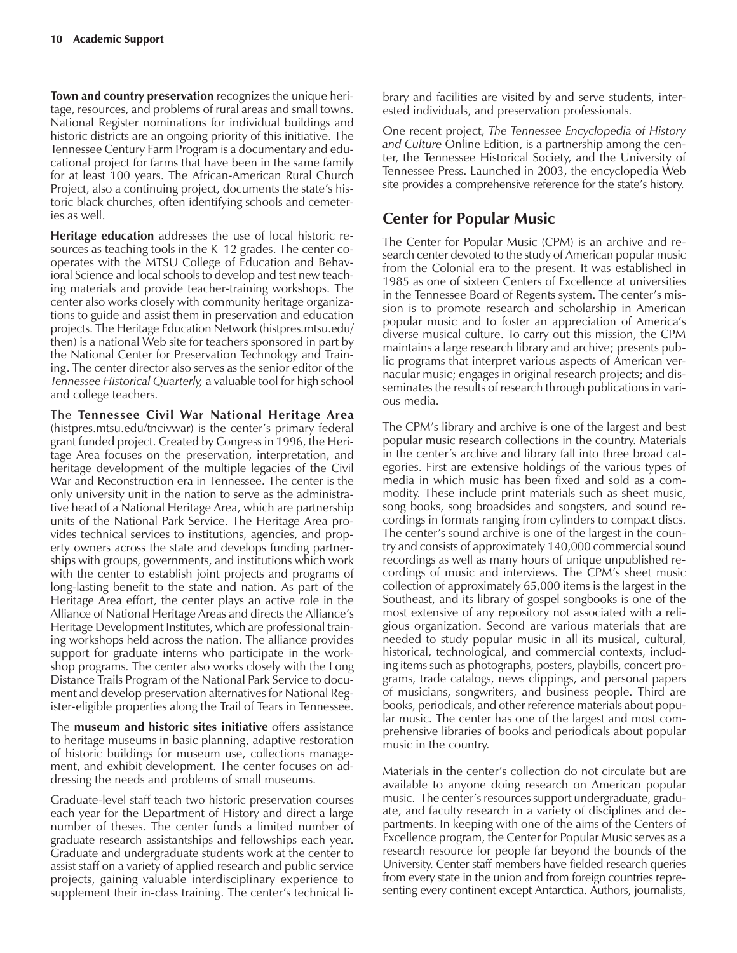**Town and country preservation** recognizes the unique heritage, resources, and problems of rural areas and small towns. National Register nominations for individual buildings and historic districts are an ongoing priority of this initiative. The Tennessee Century Farm Program is a documentary and educational project for farms that have been in the same family for at least 100 years. The African-American Rural Church Project, also a continuing project, documents the state's historic black churches, often identifying schools and cemeteries as well.

**Heritage education** addresses the use of local historic resources as teaching tools in the K-12 grades. The center cooperates with the MTSU College of Education and Behavioral Science and local schools to develop and test new teaching materials and provide teacher-training workshops. The center also works closely with community heritage organizations to guide and assist them in preservation and education projects. The Heritage Education Network (histpres.mtsu.edu/ then) is a national Web site for teachers sponsored in part by the National Center for Preservation Technology and Training. The center director also serves as the senior editor of the *Tennessee Historical Quarterly,* a valuable tool for high school and college teachers.

The **Tennessee Civil War National Heritage Area** (histpres.mtsu.edu/tncivwar) is the center's primary federal grant funded project. Created by Congress in 1996, the Heritage Area focuses on the preservation, interpretation, and heritage development of the multiple legacies of the Civil War and Reconstruction era in Tennessee. The center is the only university unit in the nation to serve as the administrative head of a National Heritage Area, which are partnership units of the National Park Service. The Heritage Area provides technical services to institutions, agencies, and property owners across the state and develops funding partnerships with groups, governments, and institutions which work with the center to establish joint projects and programs of long-lasting benefit to the state and nation. As part of the Heritage Area effort, the center plays an active role in the Alliance of National Heritage Areas and directs the Alliance's Heritage Development Institutes, which are professional training workshops held across the nation. The alliance provides support for graduate interns who participate in the workshop programs. The center also works closely with the Long Distance Trails Program of the National Park Service to document and develop preservation alternatives for National Register-eligible properties along the Trail of Tears in Tennessee.

The **museum and historic sites initiative** offers assistance to heritage museums in basic planning, adaptive restoration of historic buildings for museum use, collections management, and exhibit development. The center focuses on addressing the needs and problems of small museums.

Graduate-level staff teach two historic preservation courses each year for the Department of History and direct a large number of theses. The center funds a limited number of graduate research assistantships and fellowships each year. Graduate and undergraduate students work at the center to assist staff on a variety of applied research and public service projects, gaining valuable interdisciplinary experience to supplement their in-class training. The center's technical library and facilities are visited by and serve students, interested individuals, and preservation professionals.

One recent project, *The Tennessee Encyclopedia of History and Culture* Online Edition, is a partnership among the center, the Tennessee Historical Society, and the University of Tennessee Press. Launched in 2003, the encyclopedia Web site provides a comprehensive reference for the state's history.

#### **Center for Popular Music**

The Center for Popular Music (CPM) is an archive and research center devoted to the study of American popular music from the Colonial era to the present. It was established in 1985 as one of sixteen Centers of Excellence at universities in the Tennessee Board of Regents system. The center's mission is to promote research and scholarship in American popular music and to foster an appreciation of America's diverse musical culture. To carry out this mission, the CPM maintains a large research library and archive; presents public programs that interpret various aspects of American vernacular music; engages in original research projects; and disseminates the results of research through publications in various media.

The CPM's library and archive is one of the largest and best popular music research collections in the country. Materials in the center's archive and library fall into three broad categories. First are extensive holdings of the various types of media in which music has been fixed and sold as a commodity. These include print materials such as sheet music, song books, song broadsides and songsters, and sound recordings in formats ranging from cylinders to compact discs. The center's sound archive is one of the largest in the country and consists of approximately 140,000 commercial sound recordings as well as many hours of unique unpublished recordings of music and interviews. The CPM's sheet music collection of approximately 65,000 items is the largest in the Southeast, and its library of gospel songbooks is one of the most extensive of any repository not associated with a religious organization. Second are various materials that are needed to study popular music in all its musical, cultural, historical, technological, and commercial contexts, including items such as photographs, posters, playbills, concert programs, trade catalogs, news clippings, and personal papers of musicians, songwriters, and business people. Third are books, periodicals, and other reference materials about popular music. The center has one of the largest and most comprehensive libraries of books and periodicals about popular music in the country.

Materials in the center's collection do not circulate but are available to anyone doing research on American popular music. The center's resources support undergraduate, graduate, and faculty research in a variety of disciplines and departments. In keeping with one of the aims of the Centers of Excellence program, the Center for Popular Music serves as a research resource for people far beyond the bounds of the University. Center staff members have fielded research queries from every state in the union and from foreign countries representing every continent except Antarctica. Authors, journalists,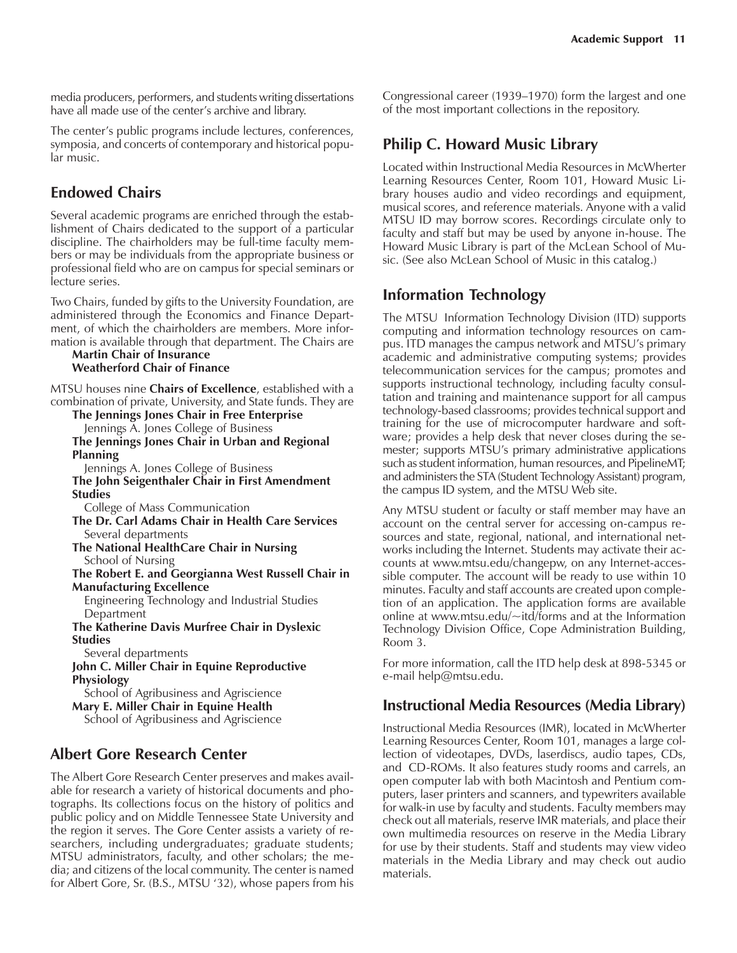media producers, performers, and students writing dissertations have all made use of the center's archive and library.

The center's public programs include lectures, conferences, symposia, and concerts of contemporary and historical popular music.

#### **Endowed Chairs**

Several academic programs are enriched through the establishment of Chairs dedicated to the support of a particular discipline. The chairholders may be full-time faculty members or may be individuals from the appropriate business or professional field who are on campus for special seminars or lecture series.

Two Chairs, funded by gifts to the University Foundation, are administered through the Economics and Finance Department, of which the chairholders are members. More information is available through that department. The Chairs are

#### **Martin Chair of Insurance Weatherford Chair of Finance**

MTSU houses nine **Chairs of Excellence**, established with a combination of private, University, and State funds. They are

**The Jennings Jones Chair in Free Enterprise** Jennings A. Jones College of Business

#### **The Jennings Jones Chair in Urban and Regional Planning**

Jennings A. Jones College of Business

**The John Seigenthaler Chair in First Amendment Studies**

College of Mass Communication

**The Dr. Carl Adams Chair in Health Care Services** Several departments

**The National HealthCare Chair in Nursing** School of Nursing

**The Robert E. and Georgianna West Russell Chair in Manufacturing Excellence**

Engineering Technology and Industrial Studies **Department** 

**The Katherine Davis Murfree Chair in Dyslexic Studies**

Several departments

**John C. Miller Chair in Equine Reproductive Physiology**

School of Agribusiness and Agriscience **Mary E. Miller Chair in Equine Health** School of Agribusiness and Agriscience

### **Albert Gore Research Center**

The Albert Gore Research Center preserves and makes available for research a variety of historical documents and photographs. Its collections focus on the history of politics and public policy and on Middle Tennessee State University and the region it serves. The Gore Center assists a variety of researchers, including undergraduates; graduate students; MTSU administrators, faculty, and other scholars; the media; and citizens of the local community. The center is named for Albert Gore, Sr. (B.S., MTSU '32), whose papers from his

Congressional career (1939–1970) form the largest and one of the most important collections in the repository.

## **Philip C. Howard Music Library**

Located within Instructional Media Resources in McWherter Learning Resources Center, Room 101, Howard Music Library houses audio and video recordings and equipment, musical scores, and reference materials. Anyone with a valid MTSU ID may borrow scores. Recordings circulate only to faculty and staff but may be used by anyone in-house. The Howard Music Library is part of the McLean School of Music. (See also McLean School of Music in this catalog.)

#### **Information Technology**

The MTSU Information Technology Division (ITD) supports computing and information technology resources on campus. ITD manages the campus network and MTSU's primary academic and administrative computing systems; provides telecommunication services for the campus; promotes and supports instructional technology, including faculty consultation and training and maintenance support for all campus technology-based classrooms; provides technical support and training for the use of microcomputer hardware and software; provides a help desk that never closes during the semester; supports MTSU's primary administrative applications such as student information, human resources, and PipelineMT; and administers the STA (Student Technology Assistant) program, the campus ID system, and the MTSU Web site.

Any MTSU student or faculty or staff member may have an account on the central server for accessing on-campus resources and state, regional, national, and international networks including the Internet. Students may activate their accounts at www.mtsu.edu/changepw, on any Internet-accessible computer. The account will be ready to use within 10 minutes. Faculty and staff accounts are created upon completion of an application. The application forms are available online at www.mtsu.edu/~itd/forms and at the Information Technology Division Office, Cope Administration Building, Room 3.

For more information, call the ITD help desk at 898-5345 or e-mail help@mtsu.edu.

#### **Instructional Media Resources (Media Library)**

Instructional Media Resources (IMR), located in McWherter Learning Resources Center, Room 101, manages a large collection of videotapes, DVDs, laserdiscs, audio tapes, CDs, and CD-ROMs. It also features study rooms and carrels, an open computer lab with both Macintosh and Pentium computers, laser printers and scanners, and typewriters available for walk-in use by faculty and students. Faculty members may check out all materials, reserve IMR materials, and place their own multimedia resources on reserve in the Media Library for use by their students. Staff and students may view video materials in the Media Library and may check out audio materials.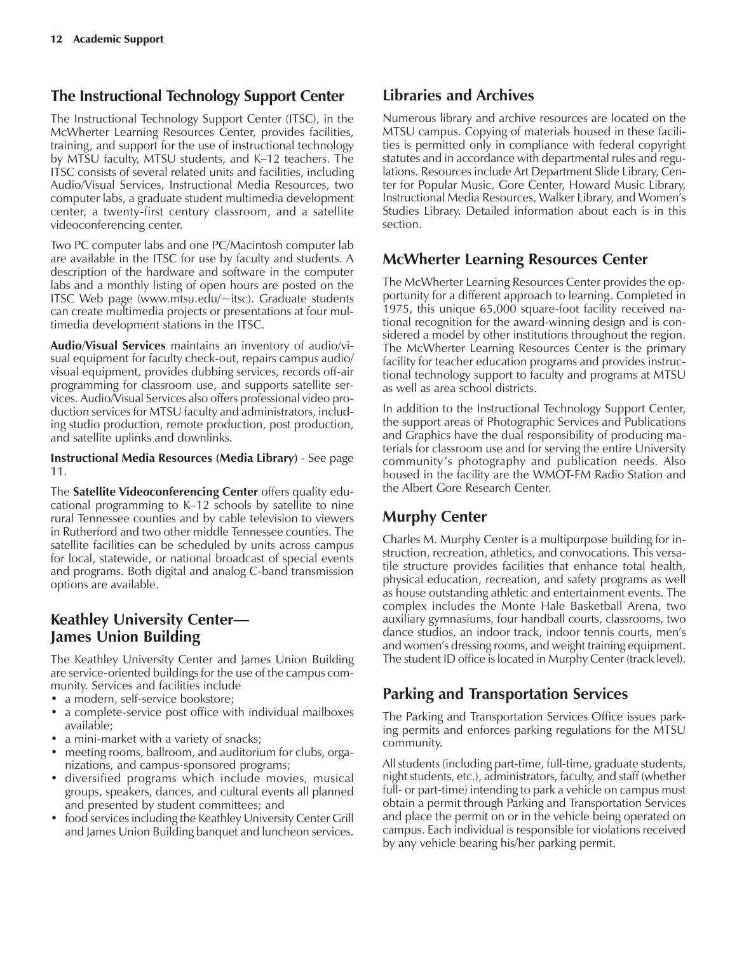#### **The Instructional Technology Support Center**

The Instructional Technology Support Center (ITSC), in the McWherter Learning Resources Center, provides facilities, training, and support for the use of instructional technology by MTSU faculty, MTSU students, and K-12 teachers. The ITSC consists of several related units and facilities, including Audio/Visual Services, Instructional Media Resources, two computer labs, a graduate student multimedia development center, a twenty-first century classroom, and a satellite videoconferencing center.

Two PC computer labs and one PC/Macintosh computer lab are available in the ITSC for use by faculty and students. A description of the hardware and software in the computer labs and a monthly listing of open hours are posted on the ITSC Web page (www.mtsu.edu/~itsc). Graduate students can create multimedia projects or presentations at four multimedia development stations in the ITSC.

**Audio/Visual Services** maintains an inventory of audio/visual equipment for faculty check-out, repairs campus audio/ visual equipment, provides dubbing services, records off-air programming for classroom use, and supports satellite services. Audio/Visual Services also offers professional video production services for MTSU faculty and administrators, including studio production, remote production, post production, and satellite uplinks and downlinks.

**Instructional Media Resources (Media Library)** - See page 11.

The **Satellite Videoconferencing Center** offers quality educational programming to  $K-12$  schools by satellite to nine rural Tennessee counties and by cable television to viewers in Rutherford and two other middle Tennessee counties. The satellite facilities can be scheduled by units across campus for local, statewide, or national broadcast of special events and programs. Both digital and analog C-band transmission options are available.

#### **Keathley University Center— James Union Building**

The Keathley University Center and James Union Building are service-oriented buildings for the use of the campus community. Services and facilities include

- a modern, self-service bookstore;
- a complete-service post office with individual mailboxes available;
- a mini-market with a variety of snacks;
- meeting rooms, ballroom, and auditorium for clubs, organizations, and campus-sponsored programs;
- diversified programs which include movies, musical groups, speakers, dances, and cultural events all planned and presented by student committees; and
- food services including the Keathley University Center Grill and James Union Building banquet and luncheon services.

#### **Libraries and Archives**

Numerous library and archive resources are located on the MTSU campus. Copying of materials housed in these facilities is permitted only in compliance with federal copyright statutes and in accordance with departmental rules and regulations. Resources include Art Department Slide Library, Center for Popular Music, Gore Center, Howard Music Library, Instructional Media Resources, Walker Library, and Womenís Studies Library. Detailed information about each is in this section.

#### **McWherter Learning Resources Center**

The McWherter Learning Resources Center provides the opportunity for a different approach to learning. Completed in 1975, this unique 65,000 square-foot facility received national recognition for the award-winning design and is considered a model by other institutions throughout the region. The McWherter Learning Resources Center is the primary facility for teacher education programs and provides instructional technology support to faculty and programs at MTSU as well as area school districts.

In addition to the Instructional Technology Support Center, the support areas of Photographic Services and Publications and Graphics have the dual responsibility of producing materials for classroom use and for serving the entire University community's photography and publication needs. Also housed in the facility are the WMOT-FM Radio Station and the Albert Gore Research Center.

### **Murphy Center**

Charles M. Murphy Center is a multipurpose building for instruction, recreation, athletics, and convocations. This versatile structure provides facilities that enhance total health, physical education, recreation, and safety programs as well as house outstanding athletic and entertainment events. The complex includes the Monte Hale Basketball Arena, two auxiliary gymnasiums, four handball courts, classrooms, two dance studios, an indoor track, indoor tennis courts, men's and women's dressing rooms, and weight training equipment. The student ID office is located in Murphy Center (track level).

### **Parking and Transportation Services**

The Parking and Transportation Services Office issues parking permits and enforces parking regulations for the MTSU community.

All students (including part-time, full-time, graduate students, night students, etc.), administrators, faculty, and staff (whether full- or part-time) intending to park a vehicle on campus must obtain a permit through Parking and Transportation Services and place the permit on or in the vehicle being operated on campus. Each individual is responsible for violations received by any vehicle bearing his/her parking permit.